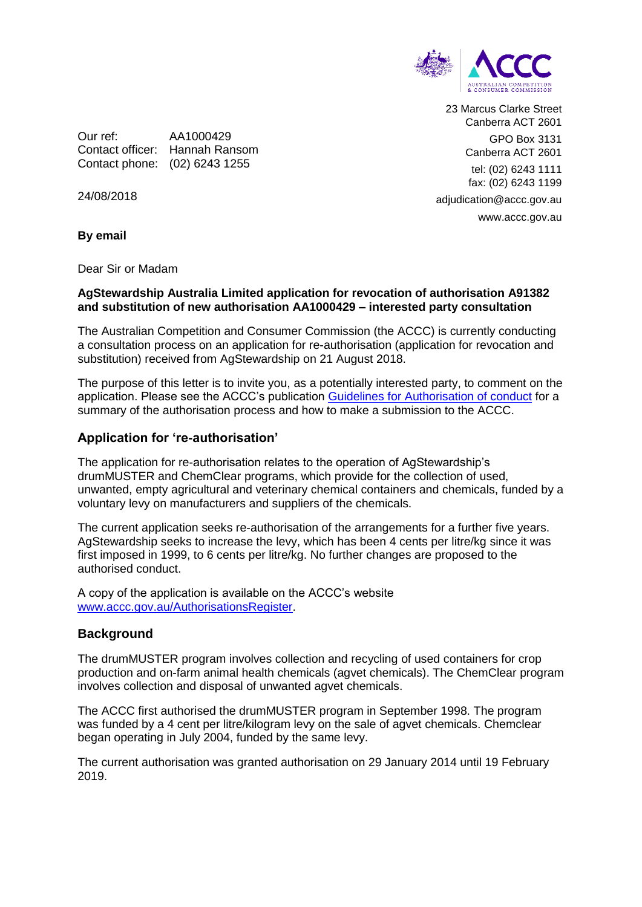

23 Marcus Clarke Street Canberra ACT 2601 GPO Box 3131 Canberra ACT 2601 tel: (02) 6243 1111 fax: (02) 6243 1199 adjudication@accc.gov.au www.accc.gov.au

Our ref: AA1000429 Contact officer: Hannah Ransom Contact phone: (02) 6243 1255

24/08/2018

**By email**

Dear Sir or Madam

#### **AgStewardship Australia Limited application for revocation of authorisation A91382 and substitution of new authorisation AA1000429 – interested party consultation**

The Australian Competition and Consumer Commission (the ACCC) is currently conducting a consultation process on an application for re-authorisation (application for revocation and substitution) received from AgStewardship on 21 August 2018.

The purpose of this letter is to invite you, as a potentially interested party, to comment on the application. Please see the ACCC's publication [Guidelines for Authorisation of conduct](https://www.accc.gov.au/publications/guidelines-for-authorisation-of-conduct-non-merger) for a summary of the authorisation process and how to make a submission to the ACCC.

#### **Application for 're-authorisation'**

The application for re-authorisation relates to the operation of AgStewardship's drumMUSTER and ChemClear programs, which provide for the collection of used, unwanted, empty agricultural and veterinary chemical containers and chemicals, funded by a voluntary levy on manufacturers and suppliers of the chemicals.

The current application seeks re-authorisation of the arrangements for a further five years. AgStewardship seeks to increase the levy, which has been 4 cents per litre/kg since it was first imposed in 1999, to 6 cents per litre/kg. No further changes are proposed to the authorised conduct.

A copy of the application is available on the ACCC's website [www.accc.gov.au/AuthorisationsRegister.](http://www.accc.gov.au/AuthorisationsRegister)

## **Background**

The drumMUSTER program involves collection and recycling of used containers for crop production and on-farm animal health chemicals (agvet chemicals). The ChemClear program involves collection and disposal of unwanted agvet chemicals.

The ACCC first authorised the drumMUSTER program in September 1998. The program was funded by a 4 cent per litre/kilogram levy on the sale of agvet chemicals. Chemclear began operating in July 2004, funded by the same levy.

The current authorisation was granted authorisation on 29 January 2014 until 19 February 2019.